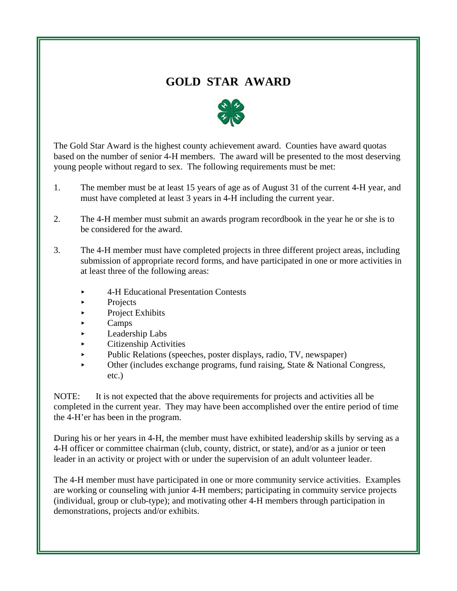# **GOLD STAR AWARD**



The Gold Star Award is the highest county achievement award. Counties have award quotas based on the number of senior 4-H members. The award will be presented to the most deserving young people without regard to sex. The following requirements must be met:

- 1. The member must be at least 15 years of age as of August 31 of the current 4-H year, and must have completed at least 3 years in 4-H including the current year.
- 2. The 4-H member must submit an awards program recordbook in the year he or she is to be considered for the award.
- 3. The 4-H member must have completed projects in three different project areas, including submission of appropriate record forms, and have participated in one or more activities in at least three of the following areas:
	- ▶ 4-H Educational Presentation Contests
	- $\blacktriangleright$  Projects
	- $\blacktriangleright$  Project Exhibits
	- $\blacktriangleright$  Camps
	- **Leadership Labs**
	- $\blacktriangleright$  Citizenship Activities
	- Public Relations (speeches, poster displays, radio, TV, newspaper)
	- Other (includes exchange programs, fund raising, State & National Congress, etc.)

NOTE: It is not expected that the above requirements for projects and activities all be completed in the current year. They may have been accomplished over the entire period of time the 4-H'er has been in the program.

During his or her years in 4-H, the member must have exhibited leadership skills by serving as a 4-H officer or committee chairman (club, county, district, or state), and/or as a junior or teen leader in an activity or project with or under the supervision of an adult volunteer leader.

The 4-H member must have participated in one or more community service activities. Examples are working or counseling with junior 4-H members; participating in commuity service projects (individual, group or club-type); and motivating other 4-H members through participation in demonstrations, projects and/or exhibits.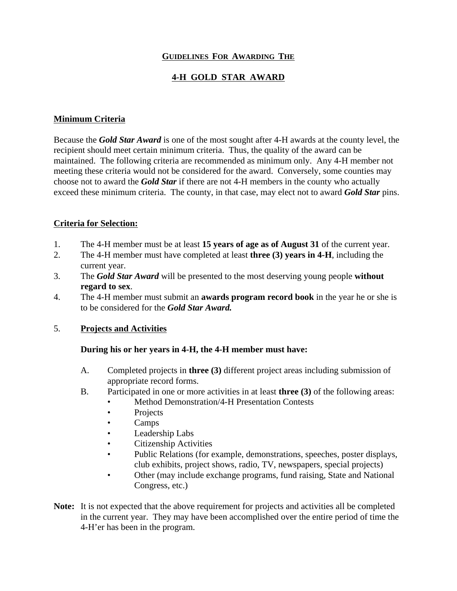### **GUIDELINES FOR AWARDING THE**

## **4-H GOLD STAR AWARD**

### **Minimum Criteria**

Because the *Gold Star Award* is one of the most sought after 4-H awards at the county level, the recipient should meet certain minimum criteria. Thus, the quality of the award can be maintained. The following criteria are recommended as minimum only. Any 4-H member not meeting these criteria would not be considered for the award. Conversely, some counties may choose not to award the *Gold Star* if there are not 4-H members in the county who actually exceed these minimum criteria. The county, in that case, may elect not to award *Gold Star* pins.

#### **Criteria for Selection:**

- 1. The 4-H member must be at least **15 years of age as of August 31** of the current year.
- 2. The 4-H member must have completed at least **three (3) years in 4-H**, including the current year.
- 3. The *Gold Star Award* will be presented to the most deserving young people **without regard to sex**.
- 4. The 4-H member must submit an **awards program record book** in the year he or she is to be considered for the *Gold Star Award.*

#### 5. **Projects and Activities**

#### **During his or her years in 4-H, the 4-H member must have:**

- A. Completed projects in **three (3)** different project areas including submission of appropriate record forms.
- B. Participated in one or more activities in at least **three (3)** of the following areas:
	- Method Demonstration/4-H Presentation Contests
		- Projects
		- Camps
		- Leadership Labs
		- Citizenship Activities
		- Public Relations (for example, demonstrations, speeches, poster displays, club exhibits, project shows, radio, TV, newspapers, special projects)
		- Other (may include exchange programs, fund raising, State and National Congress, etc.)
- **Note:** It is not expected that the above requirement for projects and activities all be completed in the current year. They may have been accomplished over the entire period of time the 4-H'er has been in the program.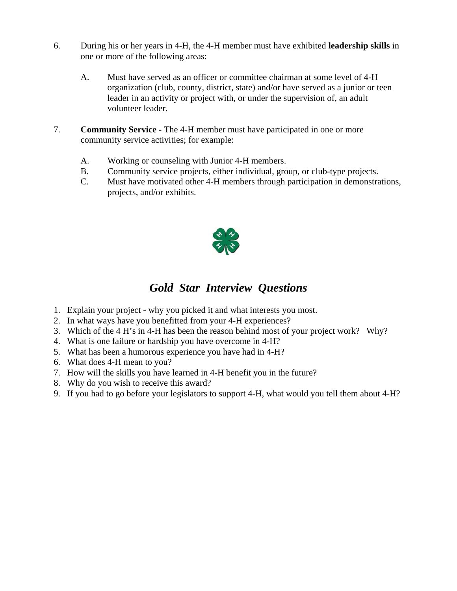- 6. During his or her years in 4-H, the 4-H member must have exhibited **leadership skills** in one or more of the following areas:
	- A. Must have served as an officer or committee chairman at some level of 4-H organization (club, county, district, state) and/or have served as a junior or teen leader in an activity or project with, or under the supervision of, an adult volunteer leader.
- 7. **Community Service -** The 4-H member must have participated in one or more community service activities; for example:
	- A. Working or counseling with Junior 4-H members.
	- B. Community service projects, either individual, group, or club-type projects.
	- C. Must have motivated other 4-H members through participation in demonstrations, projects, and/or exhibits.



# *Gold Star Interview Questions*

- 1. Explain your project why you picked it and what interests you most.
- 2. In what ways have you benefitted from your 4-H experiences?
- 3. Which of the 4 H's in 4-H has been the reason behind most of your project work? Why?
- 4. What is one failure or hardship you have overcome in 4-H?
- 5. What has been a humorous experience you have had in 4-H?
- 6. What does 4-H mean to you?
- 7. How will the skills you have learned in 4-H benefit you in the future?
- 8. Why do you wish to receive this award?
- 9. If you had to go before your legislators to support 4-H, what would you tell them about 4-H?